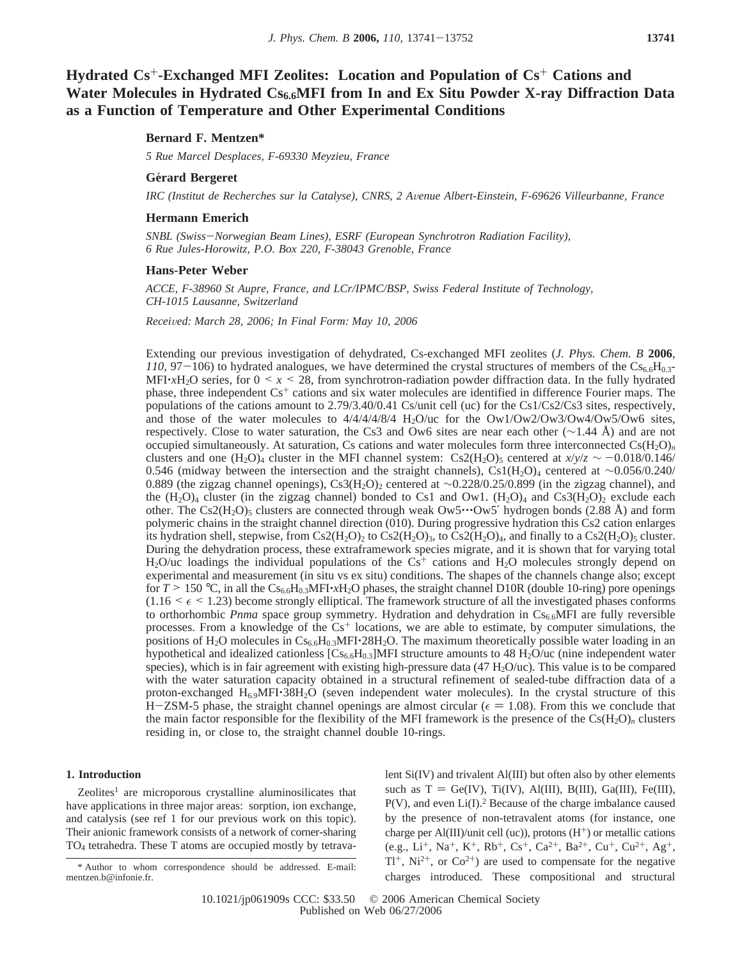**Hydrated Cs**+**-Exchanged MFI Zeolites: Location and Population of Cs**<sup>+</sup> **Cations and** Water Molecules in Hydrated Cs<sub>6.6</sub>MFI from In and Ex Situ Powder X-ray Diffraction Data **as a Function of Temperature and Other Experimental Conditions**

# **Bernard F. Mentzen\***

*5 Rue Marcel Desplaces, F-69330 Meyzieu, France*

## **Ge**´**rard Bergeret**

*IRC (Institut de Recherches sur la Catalyse), CNRS, 2 A*V*enue Albert-Einstein, F-69626 Villeurbanne, France*

## **Hermann Emerich**

*SNBL (Swiss*-*Norwegian Beam Lines), ESRF (European Synchrotron Radiation Facility), 6 Rue Jules-Horowitz, P.O. Box 220, F-38043 Grenoble, France*

## **Hans-Peter Weber**

*ACCE, F-38960 St Aupre, France, and LCr/IPMC/BSP, Swiss Federal Institute of Technology, CH-1015 Lausanne, Switzerland*

*Recei*V*ed: March 28, 2006; In Final Form: May 10, 2006*

Extending our previous investigation of dehydrated, Cs-exchanged MFI zeolites (*J. Phys. Chem. B* **2006**,  $110, 97-106$ ) to hydrated analogues, we have determined the crystal structures of members of the  $Cs_{6.6}H_{0.3-}$ MFI'*x*H<sub>2</sub>O series, for  $0 \le x \le 28$ , from synchrotron-radiation powder diffraction data. In the fully hydrated phase, three independent Cs<sup>+</sup> cations and six water molecules are identified in difference Fourier maps. The populations of the cations amount to 2.79/3.40/0.41 Cs/unit cell (uc) for the Cs1/Cs2/Cs3 sites, respectively, and those of the water molecules to  $4/4/4/4/8/4$  H<sub>2</sub>O/uc for the Ow1/Ow2/Ow3/Ow4/Ow5/Ow6 sites, respectively. Close to water saturation, the Cs3 and Ow6 sites are near each other (∼1.44 Å) and are not occupied simultaneously. At saturation, Cs cations and water molecules form three interconnected  $Cs(H_2O)<sub>n</sub>$ clusters and one (H<sub>2</sub>O)<sub>4</sub> cluster in the MFI channel system: Cs2(H<sub>2</sub>O)<sub>5</sub> centered at *x*/*y*/*z* ∼ -0.018/0.146/ 0.546 (midway between the intersection and the straight channels), Cs1(H2O)4 centered at ∼0.056/0.240/ 0.889 (the zigzag channel openings), Cs3(H2O)2 centered at ∼0.228/0.25/0.899 (in the zigzag channel), and the  $(H_2O)_4$  cluster (in the zigzag channel) bonded to Cs1 and Ow1.  $(H_2O)_4$  and Cs3( $H_2O$ )<sub>2</sub> exclude each other. The Cs2( $H_2O_5$  clusters are connected through weak Ow5 $\cdots$ Ow5' hydrogen bonds (2.88 Å) and form polymeric chains in the straight channel direction (010). During progressive hydration this Cs2 cation enlarges its hydration shell, stepwise, from  $Cs2(H_2O)_2$  to  $Cs2(H_2O)_3$ , to  $Cs2(H_2O)_4$ , and finally to a  $Cs2(H_2O)_5$  cluster. During the dehydration process, these extraframework species migrate, and it is shown that for varying total H<sub>2</sub>O/uc loadings the individual populations of the  $Cs<sup>+</sup>$  cations and H<sub>2</sub>O molecules strongly depend on experimental and measurement (in situ vs ex situ) conditions. The shapes of the channels change also; except for  $T > 150$  °C, in all the  $Cs_{6.6}H_{0.3}MF1 \cdot xH_2O$  phases, the straight channel D10R (double 10-ring) pore openings  $(1.16 \le \epsilon \le 1.23)$  become strongly elliptical. The framework structure of all the investigated phases conforms to orthorhombic *Pnma* space group symmetry. Hydration and dehydration in Cs<sub>6.6</sub>MFI are fully reversible processes. From a knowledge of the  $Cs<sup>+</sup>$  locations, we are able to estimate, by computer simulations, the positions of H<sub>2</sub>O molecules in  $Cs_{6.6}H_{0.3}MFI \cdot 28H_2O$ . The maximum theoretically possible water loading in an hypothetical and idealized cationless  $[Cs_{6.6}H_{0.3}]$ MFI structure amounts to 48 H<sub>2</sub>O/uc (nine independent water species), which is in fair agreement with existing high-pressure data  $(47 \text{ H}_2\text{O}/\text{uc})$ . This value is to be compared with the water saturation capacity obtained in a structural refinement of sealed-tube diffraction data of a proton-exchanged  $H_{6.9}$ MFI $\cdot$ 38H<sub>2</sub>O (seven independent water molecules). In the crystal structure of this H-ZSM-5 phase, the straight channel openings are almost circular ( $\epsilon$  = 1.08). From this we conclude that the main factor responsible for the flexibility of the MFI framework is the presence of the  $Cs(H_2O)<sub>n</sub>$  clusters residing in, or close to, the straight channel double 10-rings.

## **1. Introduction**

 $Z$ eolites<sup>1</sup> are microporous crystalline aluminosilicates that have applications in three major areas: sorption, ion exchange, and catalysis (see ref 1 for our previous work on this topic). Their anionic framework consists of a network of corner-sharing TO4 tetrahedra. These T atoms are occupied mostly by tetravalent Si(IV) and trivalent Al(III) but often also by other elements such as  $T = Ge(IV)$ , Ti(IV), Al(III), B(III), Ga(III), Fe(III),  $P(V)$ , and even  $Li(I)$ .<sup>2</sup> Because of the charge imbalance caused by the presence of non-tetravalent atoms (for instance, one charge per Al(III)/unit cell (uc)), protons  $(H<sup>+</sup>)$  or metallic cations (e.g., Li<sup>+</sup>, Na<sup>+</sup>, K<sup>+</sup>, Rb<sup>+</sup>, Cs<sup>+</sup>, Ca<sup>2+</sup>, Ba<sup>2+</sup>, Cu<sup>+</sup>, Cu<sup>2+</sup>, Ag<sup>+</sup>,  $Tl^+$ , Ni<sup>2+</sup>, or Co<sup>2+</sup>) are used to compensate for the negative charges introduced. These compositional and structural

10.1021/jp061909s CCC: \$33.50 © 2006 American Chemical Society Published on Web 06/27/2006

<sup>\*</sup> Author to whom correspondence should be addressed. E-mail: mentzen.b@infonie.fr.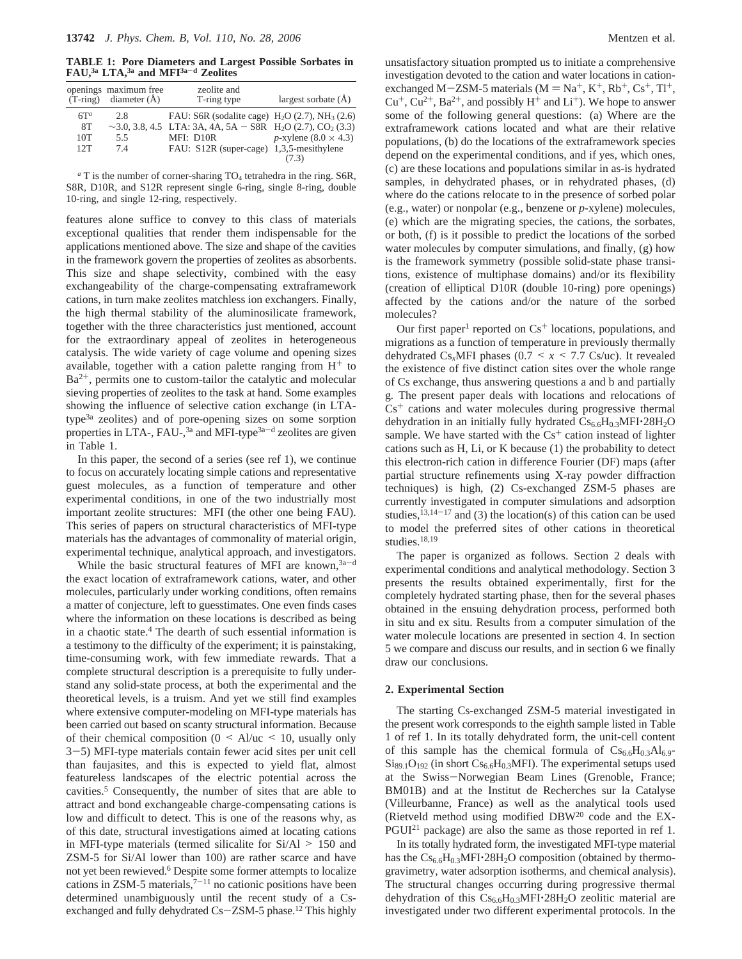**TABLE 1: Pore Diameters and Largest Possible Sorbates in FAU,3a LTA,3a and MFI3a**-**<sup>d</sup> Zeolites**

|        | openings maximum free<br>$(T\text{-ring})$ diameter $(A)$ | zeolite and<br>T-ring type                                                               | largest sorbate $(\AA)$        |
|--------|-----------------------------------------------------------|------------------------------------------------------------------------------------------|--------------------------------|
| $6T^a$ | 2.8                                                       | FAU: S6R (sodalite cage) $H_2O(2.7)$ , NH <sub>3</sub> (2.6)                             |                                |
| 8T     |                                                           | $\sim$ 3.0, 3.8, 4.5 LTA: 3A, 4A, 5A – S8R H <sub>2</sub> O (2.7), CO <sub>2</sub> (3.3) |                                |
| 10T    | 5.5                                                       | MFI: D10R                                                                                | $p$ -xylene (8.0 $\times$ 4.3) |
| 12T    | 74                                                        | FAU: S12R (super-cage) 1,3,5-mesithylene                                                 |                                |
|        |                                                           |                                                                                          |                                |

 $a$ <sup>T</sup> is the number of corner-sharing  $TO_4$  tetrahedra in the ring. S6R, S8R, D10R, and S12R represent single 6-ring, single 8-ring, double 10-ring, and single 12-ring, respectively.

features alone suffice to convey to this class of materials exceptional qualities that render them indispensable for the applications mentioned above. The size and shape of the cavities in the framework govern the properties of zeolites as absorbents. This size and shape selectivity, combined with the easy exchangeability of the charge-compensating extraframework cations, in turn make zeolites matchless ion exchangers. Finally, the high thermal stability of the aluminosilicate framework, together with the three characteristics just mentioned, account for the extraordinary appeal of zeolites in heterogeneous catalysis. The wide variety of cage volume and opening sizes available, together with a cation palette ranging from  $H^+$  to  $Ba<sup>2+</sup>$ , permits one to custom-tailor the catalytic and molecular sieving properties of zeolites to the task at hand. Some examples showing the influence of selective cation exchange (in LTAtype3a zeolites) and of pore-opening sizes on some sorption properties in LTA-, FAU-, $3a$  and MFI-type $3a-d$  zeolites are given in Table 1.

In this paper, the second of a series (see ref 1), we continue to focus on accurately locating simple cations and representative guest molecules, as a function of temperature and other experimental conditions, in one of the two industrially most important zeolite structures: MFI (the other one being FAU). This series of papers on structural characteristics of MFI-type materials has the advantages of commonality of material origin, experimental technique, analytical approach, and investigators.

While the basic structural features of MFI are known,  $3a-d$ the exact location of extraframework cations, water, and other molecules, particularly under working conditions, often remains a matter of conjecture, left to guesstimates. One even finds cases where the information on these locations is described as being in a chaotic state.4 The dearth of such essential information is a testimony to the difficulty of the experiment; it is painstaking, time-consuming work, with few immediate rewards. That a complete structural description is a prerequisite to fully understand any solid-state process, at both the experimental and the theoretical levels, is a truism. And yet we still find examples where extensive computer-modeling on MFI-type materials has been carried out based on scanty structural information. Because of their chemical composition ( $0 \leq A/\mu$ c  $\leq 10$ , usually only <sup>3</sup>-5) MFI-type materials contain fewer acid sites per unit cell than faujasites, and this is expected to yield flat, almost featureless landscapes of the electric potential across the cavities.5 Consequently, the number of sites that are able to attract and bond exchangeable charge-compensating cations is low and difficult to detect. This is one of the reasons why, as of this date, structural investigations aimed at locating cations in MFI-type materials (termed silicalite for  $Si/Al > 150$  and ZSM-5 for Si/Al lower than 100) are rather scarce and have not yet been rewieved.6 Despite some former attempts to localize cations in ZSM-5 materials, $7^{-11}$  no cationic positions have been determined unambiguously until the recent study of a Csexchanged and fully dehydrated  $Cs - ZSM-5$  phase.<sup>12</sup> This highly

unsatisfactory situation prompted us to initiate a comprehensive investigation devoted to the cation and water locations in cationexchanged M-ZSM-5 materials ( $M = Na^+, K^+, Rb^+, Cs^+, Tl^+,$  $Cu<sup>+</sup>, Cu<sup>2+</sup>, Ba<sup>2+</sup>, and possibly H<sup>+</sup> and Li<sup>+</sup>). We hope to answer$ some of the following general questions: (a) Where are the extraframework cations located and what are their relative populations, (b) do the locations of the extraframework species depend on the experimental conditions, and if yes, which ones, (c) are these locations and populations similar in as-is hydrated samples, in dehydrated phases, or in rehydrated phases, (d) where do the cations relocate to in the presence of sorbed polar (e.g., water) or nonpolar (e.g., benzene or *p*-xylene) molecules, (e) which are the migrating species, the cations, the sorbates, or both, (f) is it possible to predict the locations of the sorbed water molecules by computer simulations, and finally, (g) how is the framework symmetry (possible solid-state phase transitions, existence of multiphase domains) and/or its flexibility (creation of elliptical D10R (double 10-ring) pore openings) affected by the cations and/or the nature of the sorbed molecules?

Our first paper<sup>1</sup> reported on  $Cs<sup>+</sup>$  locations, populations, and migrations as a function of temperature in previously thermally dehydrated  $Cs_xMFI$  phases (0.7 <  $x$  < 7.7 Cs/uc). It revealed the existence of five distinct cation sites over the whole range of Cs exchange, thus answering questions a and b and partially g*.* The present paper deals with locations and relocations of  $Cs<sup>+</sup>$  cations and water molecules during progressive thermal dehydration in an initially fully hydrated  $Cs_{6.6}H_{0.3}MFI\cdot 28H_{2}O$ sample. We have started with the  $Cs<sup>+</sup>$  cation instead of lighter cations such as H, Li, or K because (1) the probability to detect this electron-rich cation in difference Fourier (DF) maps (after partial structure refinements using X-ray powder diffraction techniques) is high, (2) Cs-exchanged ZSM-5 phases are currently investigated in computer simulations and adsorption studies,  $13,14-17$  and (3) the location(s) of this cation can be used to model the preferred sites of other cations in theoretical studies.<sup>18,19</sup>

The paper is organized as follows. Section 2 deals with experimental conditions and analytical methodology. Section 3 presents the results obtained experimentally, first for the completely hydrated starting phase, then for the several phases obtained in the ensuing dehydration process, performed both in situ and ex situ. Results from a computer simulation of the water molecule locations are presented in section 4. In section 5 we compare and discuss our results, and in section 6 we finally draw our conclusions.

#### **2. Experimental Section**

The starting Cs-exchanged ZSM-5 material investigated in the present work corresponds to the eighth sample listed in Table 1 of ref 1. In its totally dehydrated form, the unit-cell content of this sample has the chemical formula of  $Cs_{6.6}H_{0.3}Al_{6.9}$ - $\rm{Si}_{89.1}\rm{O}_{192}$  (in short  $\rm{Cs}_{6.6}\rm{H}_{0.3}$ MFI). The experimental setups used at the Swiss-Norwegian Beam Lines (Grenoble, France; BM01B) and at the Institut de Recherches sur la Catalyse (Villeurbanne, France) as well as the analytical tools used (Rietveld method using modified DBW20 code and the EX-PGUI21 package) are also the same as those reported in ref 1.

In its totally hydrated form, the investigated MFI-type material has the  $Cs_{6.6}H_{0.3}MFI \cdot 28H_2O$  composition (obtained by thermogravimetry, water adsorption isotherms, and chemical analysis). The structural changes occurring during progressive thermal dehydration of this  $Cs_{6.6}H_{0.3}MFI \cdot 28H_2O$  zeolitic material are investigated under two different experimental protocols. In the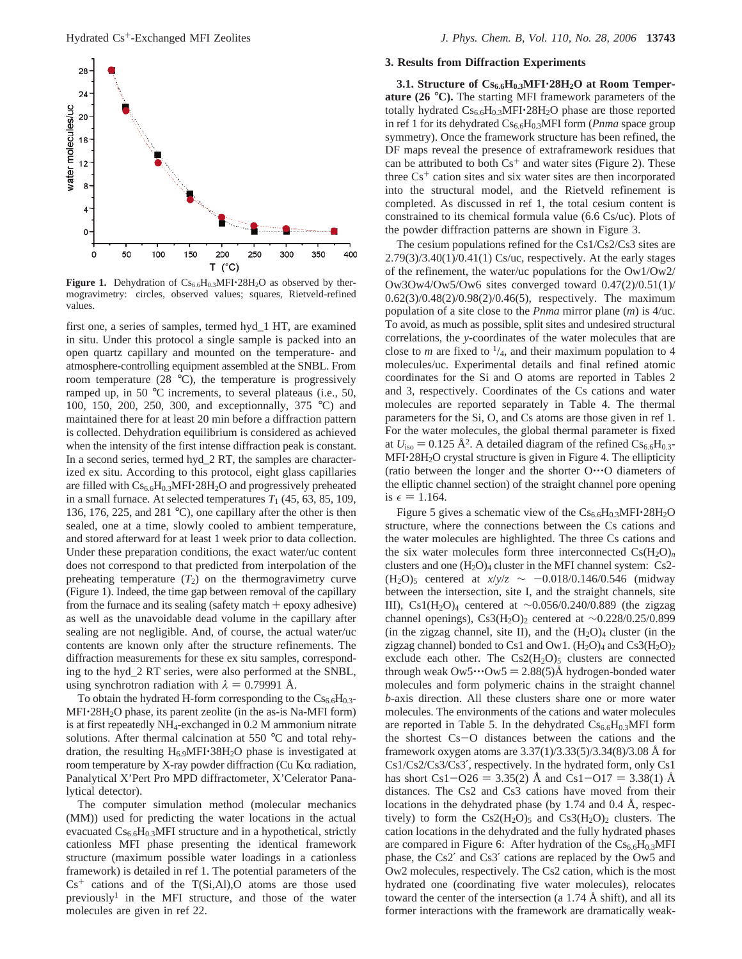

Figure 1. Dehydration of  $Cs_{6.6}H_{0.3}MFI·28H_2O$  as observed by thermogravimetry: circles, observed values; squares, Rietveld-refined values.

first one, a series of samples, termed hyd\_1 HT, are examined in situ. Under this protocol a single sample is packed into an open quartz capillary and mounted on the temperature- and atmosphere-controlling equipment assembled at the SNBL. From room temperature (28 °C), the temperature is progressively ramped up, in 50 °C increments, to several plateaus (i.e., 50, 100, 150, 200, 250, 300, and exceptionnally, 375 °C) and maintained there for at least 20 min before a diffraction pattern is collected. Dehydration equilibrium is considered as achieved when the intensity of the first intense diffraction peak is constant. In a second series, termed hyd\_2 RT, the samples are characterized ex situ. According to this protocol, eight glass capillaries are filled with Cs<sub>6.6</sub>H<sub>0.3</sub>MFI·28H<sub>2</sub>O and progressively preheated in a small furnace. At selected temperatures  $T_1$  (45, 63, 85, 109, 136, 176, 225, and 281 °C), one capillary after the other is then sealed, one at a time, slowly cooled to ambient temperature, and stored afterward for at least 1 week prior to data collection. Under these preparation conditions, the exact water/uc content does not correspond to that predicted from interpolation of the preheating temperature  $(T_2)$  on the thermogravimetry curve (Figure 1). Indeed, the time gap between removal of the capillary from the furnace and its sealing (safety match  $+$  epoxy adhesive) as well as the unavoidable dead volume in the capillary after sealing are not negligible. And, of course, the actual water/uc contents are known only after the structure refinements. The diffraction measurements for these ex situ samples, corresponding to the hyd\_2 RT series, were also performed at the SNBL, using synchrotron radiation with  $\lambda = 0.79991$  Å.

To obtain the hydrated H-form corresponding to the  $Cs_{6.6}H_{0.3}$ - $MFI·28H<sub>2</sub>O$  phase, its parent zeolite (in the as-is Na-MFI form) is at first repeatedly NH4-exchanged in 0.2 M ammonium nitrate solutions. After thermal calcination at 550 °C and total rehydration, the resulting  $H_{6.9}$ MFI $\cdot$ 38H<sub>2</sub>O phase is investigated at room temperature by X-ray powder diffraction (Cu Κα radiation, Panalytical X'Pert Pro MPD diffractometer, X'Celerator Panalytical detector).

The computer simulation method (molecular mechanics (MM)) used for predicting the water locations in the actual evacuated  $Cs_{6.6}H_{0.3}MFI$  structure and in a hypothetical, strictly cationless MFI phase presenting the identical framework structure (maximum possible water loadings in a cationless framework) is detailed in ref 1. The potential parameters of the  $Cs<sup>+</sup>$  cations and of the T(Si,Al),O atoms are those used previously<sup>1</sup> in the MFI structure, and those of the water molecules are given in ref 22.

#### **3. Results from Diffraction Experiments**

**3.1. Structure of Cs6.6H0.3MFI**'**28H2O at Room Temperature (26** °**C).** The starting MFI framework parameters of the totally hydrated  $Cs_{6.6}H_{0.3}MFI \cdot 28H_2O$  phase are those reported in ref 1 for its dehydrated Cs<sub>6.6</sub>H<sub>0.3</sub>MFI form (*Pnma* space group symmetry). Once the framework structure has been refined, the DF maps reveal the presence of extraframework residues that can be attributed to both  $Cs<sup>+</sup>$  and water sites (Figure 2). These three  $Cs<sup>+</sup>$  cation sites and six water sites are then incorporated into the structural model, and the Rietveld refinement is completed. As discussed in ref 1, the total cesium content is constrained to its chemical formula value (6.6 Cs/uc). Plots of the powder diffraction patterns are shown in Figure 3.

The cesium populations refined for the Cs1/Cs2/Cs3 sites are  $2.79(3)/3.40(1)/0.41(1)$  Cs/uc, respectively. At the early stages of the refinement, the water/uc populations for the Ow1/Ow2/ Ow3Ow4/Ow5/Ow6 sites converged toward 0.47(2)/0.51(1)/ 0.62(3)/0.48(2)/0.98(2)/0.46(5), respectively. The maximum population of a site close to the *Pnma* mirror plane (*m*) is 4/uc. To avoid, as much as possible, split sites and undesired structural correlations, the *y*-coordinates of the water molecules that are close to *m* are fixed to  $\frac{1}{4}$ , and their maximum population to 4 molecules/uc. Experimental details and final refined atomic coordinates for the Si and O atoms are reported in Tables 2 and 3, respectively. Coordinates of the Cs cations and water molecules are reported separately in Table 4. The thermal parameters for the Si, O, and Cs atoms are those given in ref 1. For the water molecules, the global thermal parameter is fixed at  $U_{\text{iso}} = 0.125 \text{ Å}^2$ . A detailed diagram of the refined  $\text{Cs}_{6.6}\text{H}_{0.3}$ -MFI<sup>-28H<sub>2</sub>O crystal structure is given in Figure 4. The ellipticity</sup> (ratio between the longer and the shorter O'''O diameters of the elliptic channel section) of the straight channel pore opening is  $\epsilon = 1.164$ .

Figure 5 gives a schematic view of the  $Cs_{6.6}H_{0.3}MFI \cdot 28H_2O$ structure, where the connections between the Cs cations and the water molecules are highlighted. The three Cs cations and the six water molecules form three interconnected  $Cs(H_2O)<sub>n</sub>$ clusters and one  $(H_2O)_4$  cluster in the MFI channel system: Cs2- $(H_2O)_5$  centered at  $x/y/z \sim -0.018/0.146/0.546$  (midway between the intersection, site I, and the straight channels, site III), Cs1(H2O)4 centered at ∼0.056/0.240/0.889 (the zigzag channel openings), Cs3(H<sub>2</sub>O)<sub>2</sub> centered at ∼0.228/0.25/0.899 (in the zigzag channel, site II), and the  $(H_2O)_4$  cluster (in the zigzag channel) bonded to Cs1 and Ow1.  $(H_2O)_4$  and  $Cs3(H_2O)_2$ exclude each other. The  $Cs2(H<sub>2</sub>O)<sub>5</sub>$  clusters are connected through weak  $\text{Ow5} \cdot \text{Ow5} = 2.88(5)$ Å hydrogen-bonded water molecules and form polymeric chains in the straight channel *b*-axis direction. All these clusters share one or more water molecules. The environments of the cations and water molecules are reported in Table 5. In the dehydrated  $Cs_{6.6}H_{0.3}MFI$  form the shortest Cs-O distances between the cations and the framework oxygen atoms are 3.37(1)/3.33(5)/3.34(8)/3.08 Å for Cs1/Cs2/Cs3/Cs3′, respectively. In the hydrated form, only Cs1 has short Cs1-O26 = 3.35(2) Å and Cs1-O17 = 3.38(1) Å distances. The Cs2 and Cs3 cations have moved from their locations in the dehydrated phase (by 1.74 and 0.4 Å, respectively) to form the  $Cs2(H_2O)_5$  and  $Cs3(H_2O)_2$  clusters. The cation locations in the dehydrated and the fully hydrated phases are compared in Figure 6: After hydration of the  $Cs_{6.6}H_{0.3}MFI$ phase, the Cs2′ and Cs3′ cations are replaced by the Ow5 and Ow2 molecules, respectively. The Cs2 cation, which is the most hydrated one (coordinating five water molecules), relocates toward the center of the intersection (a 1.74 Å shift), and all its former interactions with the framework are dramatically weak-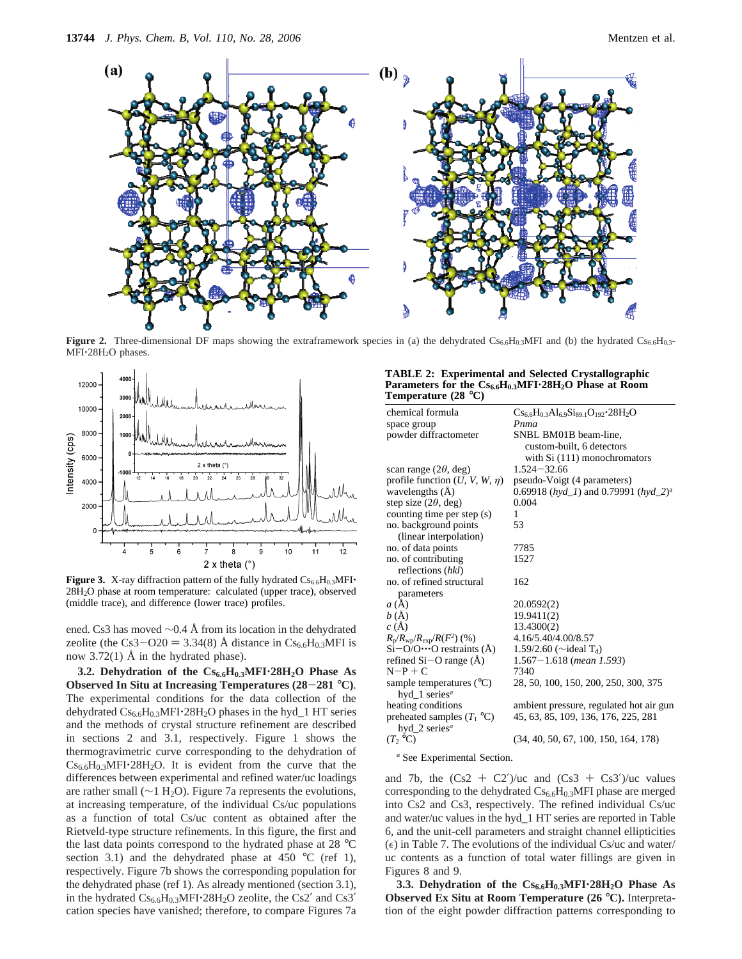

**Figure 2.** Three-dimensional DF maps showing the extraframework species in (a) the dehydrated Cs<sub>6.6</sub>H<sub>0.3</sub>MFI and (b) the hydrated Cs<sub>6.6</sub>H<sub>0.3</sub>-MFI·28H<sub>2</sub>O phases.



Figure 3. X-ray diffraction pattern of the fully hydrated Cs<sub>6.6</sub>H<sub>0.3</sub>MFI· 28H2O phase at room temperature: calculated (upper trace), observed (middle trace), and difference (lower trace) profiles.

ened. Cs3 has moved ∼0.4 Å from its location in the dehydrated zeolite (the Cs3-O20 = 3.34(8) Å distance in  $Cs_{6.6}H_{0.3}MFI$  is now 3.72(1) Å in the hydrated phase).

**3.2. Dehydration of the Cs6.6H0.3MFI**'**28H2O Phase As Observed In Situ at Increasing Temperatures (28**-**<sup>281</sup>** °**C)**. The experimental conditions for the data collection of the dehydrated  $Cs_{6.6}H_{0.3}MFI \cdot 28H_2O$  phases in the hyd $\_1$  HT series and the methods of crystal structure refinement are described in sections 2 and 3.1, respectively. Figure 1 shows the thermogravimetric curve corresponding to the dehydration of  $Cs_{6.6}H_{0.3}MFI \cdot 28H_2O$ . It is evident from the curve that the differences between experimental and refined water/uc loadings are rather small (∼1 H2O). Figure 7a represents the evolutions, at increasing temperature, of the individual Cs/uc populations as a function of total Cs/uc content as obtained after the Rietveld-type structure refinements. In this figure, the first and the last data points correspond to the hydrated phase at 28 °C section 3.1) and the dehydrated phase at 450  $^{\circ}$ C (ref 1), respectively. Figure 7b shows the corresponding population for the dehydrated phase (ref 1). As already mentioned (section 3.1), in the hydrated  $Cs_{6.6}H_{0.3}MFI \cdot 28H_2O$  zeolite, the Cs2' and Cs3' cation species have vanished; therefore, to compare Figures 7a

#### **TABLE 2: Experimental and Selected Crystallographic Parameters for the Cs6.6H0.3MFI**'**28H2O Phase at Room Temperature (28** °**C)**

| chemical formula                                 | $Cs_{6.6}H_{0.3}Al_{6.9}Si_{89.1}O_{192}$ 28H <sub>2</sub> O          |
|--------------------------------------------------|-----------------------------------------------------------------------|
| space group                                      | Pnma                                                                  |
| powder diffractometer                            | SNBL BM01B beam-line,                                                 |
|                                                  | custom-built, 6 detectors                                             |
|                                                  | with $Si(111)$ monochromators                                         |
| scan range $(2\theta, \text{deg})$               | $1.524 - 32.66$                                                       |
| profile function $(U, V, W, \eta)$               | pseudo-Voigt (4 parameters)                                           |
| wavelengths $(A)$                                | 0.69918 ( $hyd_l$ ) and 0.79991 ( $hyd_l$ <sup>2</sup> ) <sup>a</sup> |
| step size $(2\theta, \text{deg})$                | 0.004                                                                 |
| counting time per step (s)                       | 1                                                                     |
| no. background points                            | 53                                                                    |
| (linear interpolation)                           |                                                                       |
| no. of data points                               | 7785                                                                  |
| no. of contributing                              | 1527                                                                  |
| reflections (hkl)                                |                                                                       |
| no. of refined structural                        | 162                                                                   |
| parameters                                       |                                                                       |
| a(A)                                             | 20.0592(2)                                                            |
| b(A)                                             | 19.9411(2)                                                            |
| c(A)                                             | 13.4300(2)                                                            |
| $R_{\rm p}/R_{\rm wp}/R_{\rm exp}/R(F^2)$ (%)    | 4.16/5.40/4.00/8.57                                                   |
| $Si-O/O \cdots O$ restraints (Å)                 | 1.59/2.60 ( $\sim$ ideal T <sub>d</sub> )                             |
| refined $Si-O$ range $(A)$                       | $1.567 - 1.618$ (mean 1.593)                                          |
| $N-P+C$                                          | 7340                                                                  |
| sample temperatures $(^{\circ}C)$                | 28, 50, 100, 150, 200, 250, 300, 375                                  |
| hyd_1 series <sup><math>a</math></sup>           |                                                                       |
| heating conditions                               | ambient pressure, regulated hot air gun                               |
| preheated samples $(T_1 \text{ }^\circ\text{C})$ | 45, 63, 85, 109, 136, 176, 225, 281                                   |
| hyd_2 series <sup><i>a</i></sup>                 |                                                                       |
| $(T, {}^{\circ}C)$                               | (34, 40, 50, 67, 100, 150, 164, 178)                                  |
|                                                  |                                                                       |

*<sup>a</sup>* See Experimental Section.

and 7b, the  $(Cs2 + C2')/uc$  and  $(Cs3 + Cs3')/uc$  values corresponding to the dehydrated  $Cs_{6.6}H_{0.3}$ MFI phase are merged into Cs2 and Cs3, respectively. The refined individual Cs/uc and water/uc values in the hyd\_1 HT series are reported in Table 6, and the unit-cell parameters and straight channel ellipticities  $(\epsilon)$  in Table 7. The evolutions of the individual Cs/uc and water/ uc contents as a function of total water fillings are given in Figures 8 and 9.

**3.3. Dehydration of the Cs6.6H0.3MFI**'**28H2O Phase As Observed Ex Situ at Room Temperature (26** °**C).** Interpretation of the eight powder diffraction patterns corresponding to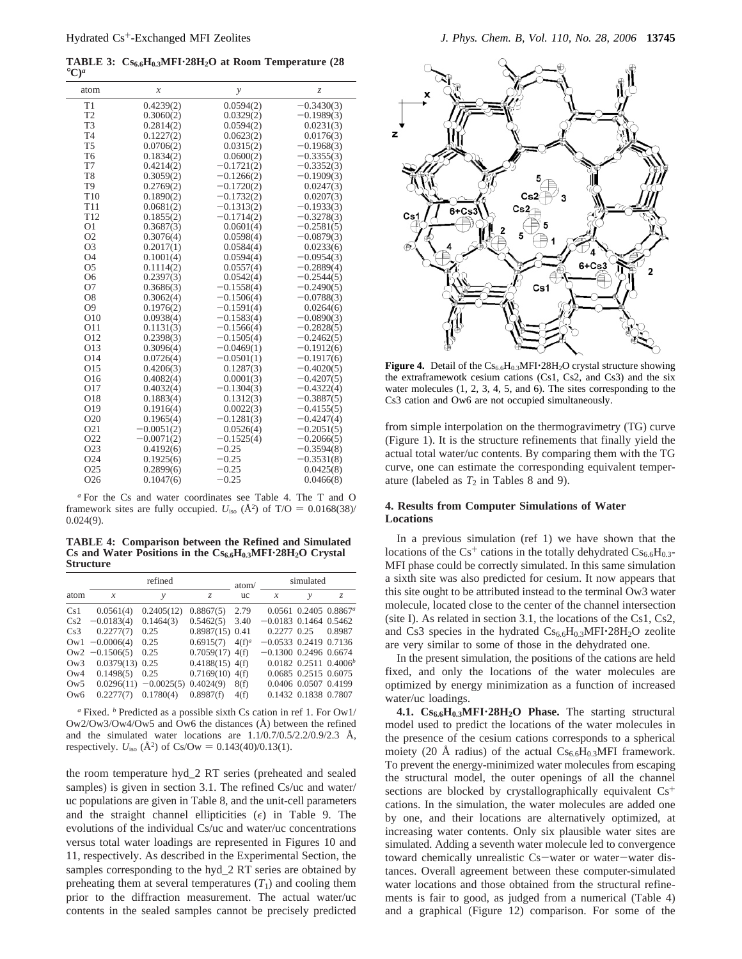TABLE 3:  $CS_{6.6}H_{0.3}MF1.28H_2O$  at Room Temperature (28 °C)<sup>*a*</sup>

| atom             | $\mathcal{X}$ | y            | $\mathcal{Z}$ |
|------------------|---------------|--------------|---------------|
| T1               | 0.4239(2)     | 0.0594(2)    | $-0.3430(3)$  |
| T <sub>2</sub>   | 0.3060(2)     | 0.0329(2)    | $-0.1989(3)$  |
| T <sub>3</sub>   | 0.2814(2)     | 0.0594(2)    | 0.0231(3)     |
| T <sub>4</sub>   | 0.1227(2)     | 0.0623(2)    | 0.0176(3)     |
| T <sub>5</sub>   | 0.0706(2)     | 0.0315(2)    | $-0.1968(3)$  |
| T <sub>6</sub>   | 0.1834(2)     | 0.0600(2)    | $-0.3355(3)$  |
| T7               | 0.4214(2)     | $-0.1721(2)$ | $-0.3352(3)$  |
| T <sub>8</sub>   | 0.3059(2)     | $-0.1266(2)$ | $-0.1909(3)$  |
| T <sub>9</sub>   | 0.2769(2)     | $-0.1720(2)$ | 0.0247(3)     |
| T <sub>10</sub>  | 0.1890(2)     | $-0.1732(2)$ | 0.0207(3)     |
| T <sub>11</sub>  | 0.0681(2)     | $-0.1313(2)$ | $-0.1933(3)$  |
| T <sub>12</sub>  | 0.1855(2)     | $-0.1714(2)$ | $-0.3278(3)$  |
| O <sub>1</sub>   | 0.3687(3)     | 0.0601(4)    | $-0.2581(5)$  |
| O <sub>2</sub>   | 0.3076(4)     | 0.0598(4)    | $-0.0879(3)$  |
| O <sub>3</sub>   | 0.2017(1)     | 0.0584(4)    | 0.0233(6)     |
| O <sub>4</sub>   | 0.1001(4)     | 0.0594(4)    | $-0.0954(3)$  |
| O <sub>5</sub>   | 0.1114(2)     | 0.0557(4)    | $-0.2889(4)$  |
| O <sub>6</sub>   | 0.2397(3)     | 0.0542(4)    | $-0.2544(5)$  |
| O7               | 0.3686(3)     | $-0.1558(4)$ | $-0.2490(5)$  |
| O8               | 0.3062(4)     | $-0.1506(4)$ | $-0.0788(3)$  |
| O <sub>9</sub>   | 0.1976(2)     | $-0.1591(4)$ | 0.0264(6)     |
| O10              | 0.0938(4)     | $-0.1583(4)$ | $-0.0890(3)$  |
| O11              | 0.1131(3)     | $-0.1566(4)$ | $-0.2828(5)$  |
| O <sub>12</sub>  | 0.2398(3)     | $-0.1505(4)$ | $-0.2462(5)$  |
| O13              | 0.3096(4)     | $-0.0469(1)$ | $-0.1912(6)$  |
| O <sub>14</sub>  | 0.0726(4)     | $-0.0501(1)$ | $-0.1917(6)$  |
| O15              | 0.4206(3)     | 0.1287(3)    | $-0.4020(5)$  |
| O16              | 0.4082(4)     | 0.0001(3)    | $-0.4207(5)$  |
| O17              | 0.4032(4)     | $-0.1304(3)$ | $-0.4322(4)$  |
| O18              | 0.1883(4)     | 0.1312(3)    | $-0.3887(5)$  |
| O19              | 0.1916(4)     | 0.0022(3)    | $-0.4155(5)$  |
| O20              | 0.1965(4)     | $-0.1281(3)$ | $-0.4247(4)$  |
| O <sub>21</sub>  | $-0.0051(2)$  | 0.0526(4)    | $-0.2051(5)$  |
| O <sub>22</sub>  | $-0.0071(2)$  | $-0.1525(4)$ | $-0.2066(5)$  |
| O <sub>2</sub> 3 | 0.4192(6)     | $-0.25$      | $-0.3594(8)$  |
| O <sub>24</sub>  | 0.1925(6)     | $-0.25$      | $-0.3531(8)$  |
| O <sub>25</sub>  | 0.2899(6)     | $-0.25$      | 0.0425(8)     |
| O <sub>26</sub>  | 0.1047(6)     | $-0.25$      | 0.0466(8)     |

*<sup>a</sup>* For the Cs and water coordinates see Table 4. The T and O framework sites are fully occupied.  $U_{\text{iso}}$  ( $\AA^2$ ) of T/O = 0.0168(38)/<br>0.024(9) 0.024(9).

**TABLE 4: Comparison between the Refined and Simulated Cs and Water Positions in the Cs6.6H0.3MFI**'**28H2O Crystal Structure**

|                |                   | refined                  |                   | atom/     |                         | simulated            |                             |
|----------------|-------------------|--------------------------|-------------------|-----------|-------------------------|----------------------|-----------------------------|
| atom           | x                 | ν                        | Z.                | <b>uc</b> | X                       | $\mathcal{Y}$        | Z.                          |
| Cs1            | 0.0561(4)         | 0.2405(12)               | 0.8867(5)         | 2.79      |                         |                      | $0.0561$ $0.2405$ $0.8867a$ |
| Cs2            | $-0.0183(4)$      | 0.1464(3)                | 0.5462(5)         | 3.40      | $-0.0183$ 0.1464 0.5462 |                      |                             |
| Cs3            | 0.2277(7)         | 0.25                     | $0.8987(15)$ 0.41 |           | $0.2277$ $0.25$         |                      | 0.8987                      |
| $\mathrm{Ow1}$ | $-0.0006(4)$      | 0.25                     | 0.6915(7)         | $4(f)^a$  | $-0.0533$ 0.2419 0.7136 |                      |                             |
| $\rm_{OW2}$    | $-0.1506(5)$      | 0.25                     | $0.7059(17)$ 4(f) |           | $-0.1300$ 0.2496 0.6674 |                      |                             |
| $\rm_{OW3}$    | $0.0379(13)$ 0.25 |                          | $0.4188(15)$ 4(f) |           |                         |                      | $0.0182$ $0.2511$ $0.4006b$ |
| Qw4            | 0.1498(5)         | 0.25                     | $0.7169(10)$ 4(f) |           |                         | 0.0685 0.2515 0.6075 |                             |
| $\rm_{OW5}$    |                   | $0.0296(11) - 0.0025(5)$ | 0.4024(9)         | 8(f)      |                         | 0.0406 0.0507 0.4199 |                             |
| Qw6            | 0.2277(7)         | 0.1780(4)                | 0.8987(f)         | 4(f)      |                         | 0.1432 0.1838 0.7807 |                             |

*<sup>a</sup>* Fixed. *<sup>b</sup>* Predicted as a possible sixth Cs cation in ref 1. For Ow1/ Ow2/Ow3/Ow4/Ow5 and Ow6 the distances (Å) between the refined and the simulated water locations are  $1.1/0.7/0.5/2.2/0.9/2.3$  Å, respectively.  $U_{\text{iso}}$  ( $\AA^2$ ) of Cs/Ow = 0.143(40)/0.13(1).

the room temperature hyd\_2 RT series (preheated and sealed samples) is given in section 3.1. The refined Cs/uc and water/ uc populations are given in Table 8, and the unit-cell parameters and the straight channel ellipticities  $(\epsilon)$  in Table 9. The evolutions of the individual Cs/uc and water/uc concentrations versus total water loadings are represented in Figures 10 and 11, respectively. As described in the Experimental Section, the samples corresponding to the hyd\_2 RT series are obtained by preheating them at several temperatures  $(T_1)$  and cooling them prior to the diffraction measurement. The actual water/uc contents in the sealed samples cannot be precisely predicted



Figure 4. Detail of the Cs<sub>6.6</sub>H<sub>0.3</sub>MFI·28H<sub>2</sub>O crystal structure showing the extraframewotk cesium cations (Cs1, Cs2, and Cs3) and the six water molecules (1, 2, 3, 4, 5, and 6). The sites corresponding to the Cs3 cation and Ow6 are not occupied simultaneously.

from simple interpolation on the thermogravimetry (TG) curve (Figure 1). It is the structure refinements that finally yield the actual total water/uc contents. By comparing them with the TG curve, one can estimate the corresponding equivalent temperature (labeled as  $T_2$  in Tables 8 and 9).

## **4. Results from Computer Simulations of Water Locations**

In a previous simulation (ref 1) we have shown that the locations of the  $Cs^+$  cations in the totally dehydrated  $Cs_{6.6}H_{0.3}$ -MFI phase could be correctly simulated. In this same simulation a sixth site was also predicted for cesium. It now appears that this site ought to be attributed instead to the terminal Ow3 water molecule, located close to the center of the channel intersection (site I). As related in section 3.1, the locations of the Cs1, Cs2, and Cs3 species in the hydrated  $Cs_{6.6}H_{0.3}MFI•28H_2O$  zeolite are very similar to some of those in the dehydrated one.

In the present simulation, the positions of the cations are held fixed, and only the locations of the water molecules are optimized by energy minimization as a function of increased water/uc loadings.

4.1. Cs<sub>6.6</sub>H<sub>0.3</sub>MFI·28H<sub>2</sub>O Phase. The starting structural model used to predict the locations of the water molecules in the presence of the cesium cations corresponds to a spherical moiety (20 Å radius) of the actual  $Cs_{6.6}H_{0.3}MFI$  framework. To prevent the energy-minimized water molecules from escaping the structural model, the outer openings of all the channel sections are blocked by crystallographically equivalent  $Cs<sup>+</sup>$ cations. In the simulation, the water molecules are added one by one, and their locations are alternatively optimized, at increasing water contents. Only six plausible water sites are simulated. Adding a seventh water molecule led to convergence toward chemically unrealistic Cs-water or water-water distances. Overall agreement between these computer-simulated water locations and those obtained from the structural refinements is fair to good, as judged from a numerical (Table 4) and a graphical (Figure 12) comparison. For some of the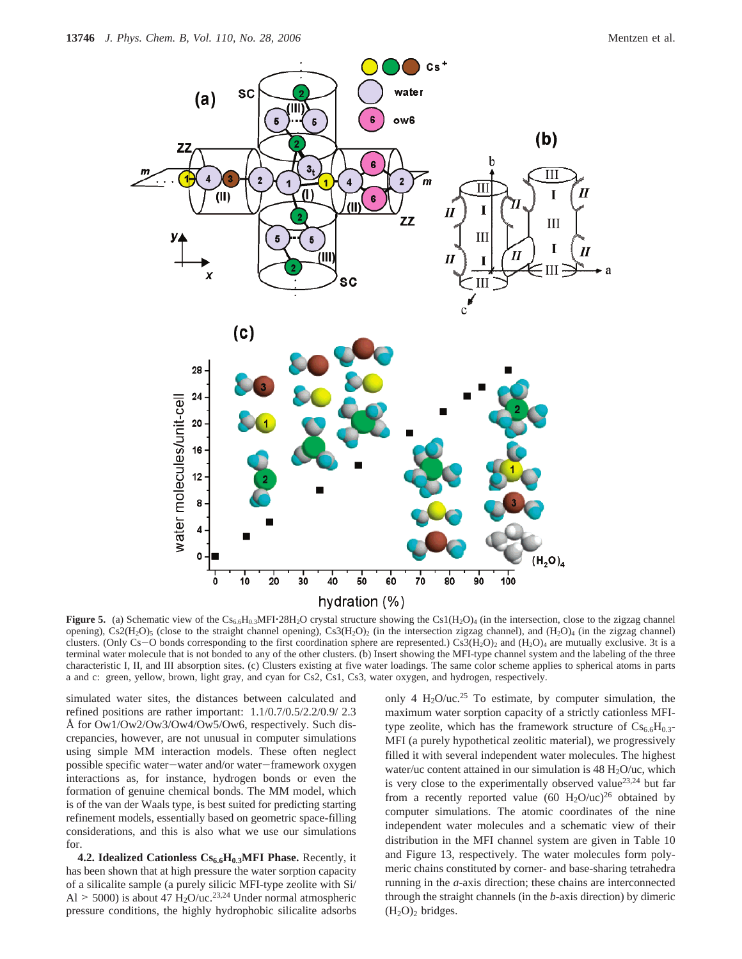

**Figure 5.** (a) Schematic view of the  $CS_{6.6}H_{0.3}MFI \cdot 28H_2O$  crystal structure showing the Cs1( $H_2O$ )<sub>4</sub> (in the intersection, close to the zigzag channel opening), Cs2(H<sub>2</sub>O)<sub>5</sub> (close to the straight channel opening), Cs3(H<sub>2</sub>O)<sub>2</sub> (in the intersection zigzag channel), and (H<sub>2</sub>O)<sub>4</sub> (in the zigzag channel) clusters. (Only Cs-O bonds corresponding to the first coordination sphere are represented.) Cs3(H<sub>2</sub>O)<sub>2</sub> and (H<sub>2</sub>O)<sub>4</sub> are mutually exclusive. 3t is a terminal water molecule that is not bonded to any of the other clusters. (b) Insert showing the MFI-type channel system and the labeling of the three characteristic I, II, and III absorption sites. (c) Clusters existing at five water loadings. The same color scheme applies to spherical atoms in parts a and c: green, yellow, brown, light gray, and cyan for Cs2, Cs1, Cs3, water oxygen, and hydrogen, respectively.

simulated water sites, the distances between calculated and refined positions are rather important: 1.1/0.7/0.5/2.2/0.9/ 2.3 Å for Ow1/Ow2/Ow3/Ow4/Ow5/Ow6, respectively. Such discrepancies, however, are not unusual in computer simulations using simple MM interaction models. These often neglect possible specific water-water and/or water-framework oxygen interactions as, for instance, hydrogen bonds or even the formation of genuine chemical bonds. The MM model, which is of the van der Waals type, is best suited for predicting starting refinement models, essentially based on geometric space-filling considerations, and this is also what we use our simulations for.

4.2. Idealized Cationless Cs<sub>6.6</sub>H<sub>0.3</sub>MFI Phase. Recently, it has been shown that at high pressure the water sorption capacity of a silicalite sample (a purely silicic MFI-type zeolite with Si/ Al  $>$  5000) is about 47 H<sub>2</sub>O/uc.<sup>23,24</sup> Under normal atmospheric pressure conditions, the highly hydrophobic silicalite adsorbs only 4  $H_2O/uc^{25}$  To estimate, by computer simulation, the maximum water sorption capacity of a strictly cationless MFItype zeolite, which has the framework structure of  $Cs_{6.6}H_{0.3}$ -MFI (a purely hypothetical zeolitic material), we progressively filled it with several independent water molecules. The highest water/uc content attained in our simulation is  $48 \text{ H}_2\text{O}/\text{uc}$ , which is very close to the experimentally observed value<sup>23,24</sup> but far from a recently reported value (60 H<sub>2</sub>O/uc)<sup>26</sup> obtained by computer simulations. The atomic coordinates of the nine independent water molecules and a schematic view of their distribution in the MFI channel system are given in Table 10 and Figure 13, respectively. The water molecules form polymeric chains constituted by corner- and base-sharing tetrahedra running in the *a*-axis direction; these chains are interconnected through the straight channels (in the *b*-axis direction) by dimeric  $(H<sub>2</sub>O)<sub>2</sub>$  bridges.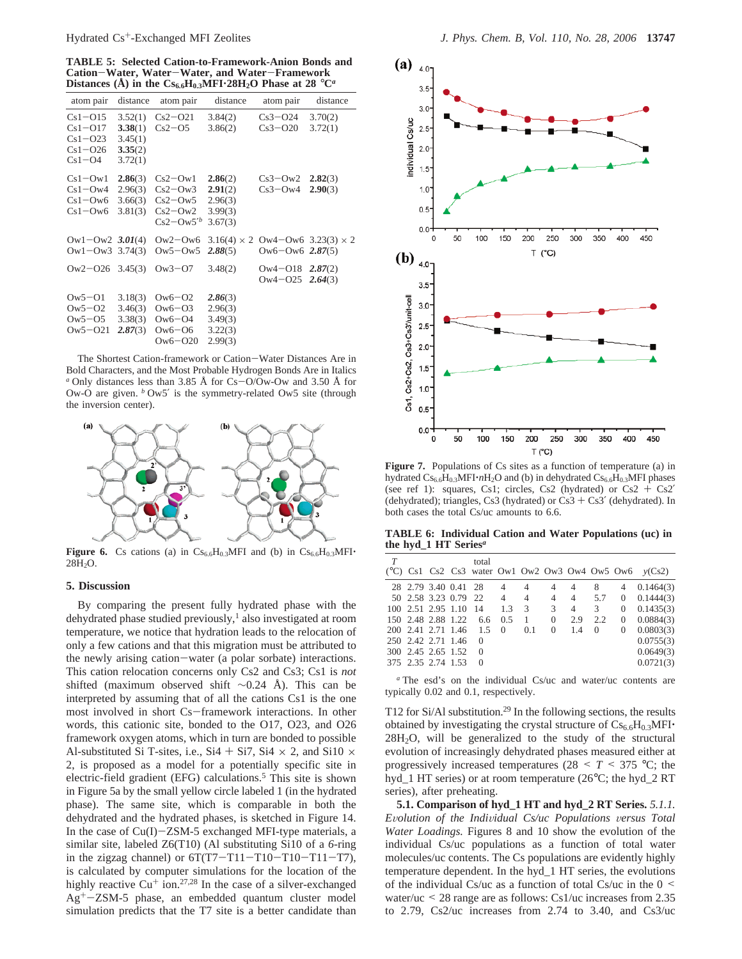**TABLE 5: Selected Cation-to-Framework-Anion Bonds and Cation**-**Water, Water**-**Water, and Water**-**Framework Distances** (Å) in the  $Cs_{6.6}H_{0.3}MF1.28H_2O$  Phase at 28  $^{\circ}C^{\alpha}$ 

| atom pair                                                          | distance                                            | atom pair                                                                | distance                                            | atom pair                  | distance                   |
|--------------------------------------------------------------------|-----------------------------------------------------|--------------------------------------------------------------------------|-----------------------------------------------------|----------------------------|----------------------------|
| $Cs1 - O15$<br>$Cs1 - O17$<br>$Cs1-023$<br>$Cs1-026$<br>$Cs1 - O4$ | 3.52(1)<br>3.38(1)<br>3.45(1)<br>3.35(2)<br>3.72(1) | $Cs2-O21$<br>$Cs2-05$                                                    | 3.84(2)<br>3.86(2)                                  | $Cs3-O24$<br>$Cs3-O20$     | 3.70(2)<br>3.72(1)         |
| $Cs1-Ow1$<br>$Cs1-Ow4$<br>$Cs1-Ow6$<br>$Cs1 - Ow6$                 | 2.86(3)<br>2.96(3)<br>3.66(3)<br>3.81(3)            | $Cs2-Ow1$<br>$Cs2-Ow3$<br>$Cs2-Ow5$<br>$Cs2-Ow2$<br>$Cs2-Ow5^{\prime b}$ | 2.86(2)<br>2.91(2)<br>2.96(3)<br>3.99(3)<br>3.67(3) | $Cs3-Ow2$<br>$Cs3-Ow4$     | 2.82(3)<br>2.90(3)         |
| $\text{Ow1}-\text{Ow2}$ 3.01(4)<br>$\text{Ow1}-\text{Ow3}$ 3.74(3) |                                                     | $Ow2-Ow6$<br>$Ow5-Ow5$                                                   | $3.16(4) \times 2$<br>2.88(5)                       | $0w6 - 0w6$ 2.87(5)        | Ow4-Ow6 $3.23(3) \times 2$ |
| $\text{Ow2} - \text{O26}$ 3.45(3)                                  |                                                     | $Ow3 - O7$                                                               | 3.48(2)                                             | $Ow4 - O18$<br>$0w4 - 025$ | 2.87(2)<br>2.64(3)         |
| $Ow5 - O1$<br>$\text{Ow5}=02$<br>$Ow5 - O5$<br>$Ow5 - O21$         | 3.18(3)<br>3.46(3)<br>3.38(3)<br>2.87(3)            | $O(w6 - O2)$<br>$0w6-03$<br>$Ow6 - O4$<br>$0w6-06$<br>$O(w6 - O20)$      | 2.86(3)<br>2.96(3)<br>3.49(3)<br>3.22(3)<br>2.99(3) |                            |                            |

The Shortest Cation-framework or Cation-Water Distances Are in Bold Characters, and the Most Probable Hydrogen Bonds Are in Italics *<sup>a</sup>* Only distances less than 3.85 Å for Cs-O/Ow-Ow and 3.50 Å for Ow-O are given. *<sup>b</sup>* Ow5′ is the symmetry-related Ow5 site (through the inversion center).



**Figure 6.** Cs cations (a) in  $Cs_{6.6}H_{0.3}MFI$  and (b) in  $Cs_{6.6}H_{0.3}MFI$ 28H2O.

### **5. Discussion**

By comparing the present fully hydrated phase with the dehydrated phase studied previously,<sup>1</sup> also investigated at room temperature, we notice that hydration leads to the relocation of only a few cations and that this migration must be attributed to the newly arising cation-water (a polar sorbate) interactions. This cation relocation concerns only Cs2 and Cs3; Cs1 is *not* shifted (maximum observed shift ∼0.24 Å). This can be interpreted by assuming that of all the cations Cs1 is the one most involved in short Cs-framework interactions. In other words, this cationic site, bonded to the O17, O23, and O26 framework oxygen atoms, which in turn are bonded to possible Al-substituted Si T-sites, i.e., Si4 + Si7, Si4  $\times$  2, and Si10  $\times$ 2, is proposed as a model for a potentially specific site in electric-field gradient (EFG) calculations.<sup>5</sup> This site is shown in Figure 5a by the small yellow circle labeled 1 (in the hydrated phase). The same site, which is comparable in both the dehydrated and the hydrated phases, is sketched in Figure 14. In the case of  $Cu(I)-ZSM-5$  exchanged MFI-type materials, a similar site, labeled Z6(T10) (Al substituting Si10 of a *6*-ring in the zigzag channel) or  $6T(T7-T11-T10-T10-T11-T7)$ , is calculated by computer simulations for the location of the highly reactive  $Cu<sup>+</sup>$  ion.<sup>27,28</sup> In the case of a silver-exchanged  $Ag<sup>+</sup>-ZSM-5$  phase, an embedded quantum cluster model simulation predicts that the T7 site is a better candidate than



Figure 7. Populations of Cs sites as a function of temperature (a) in hydrated Cs<sub>6.6</sub>H<sub>0.3</sub>MFI·*n*H<sub>2</sub>O and (b) in dehydrated Cs<sub>6.6</sub>H<sub>0.3</sub>MFI phases (see ref 1): squares, Cs1; circles, Cs2 (hydrated) or  $Cs2 + Cs2'$ (dehydrated); triangles, Cs3 (hydrated) or Cs3 + Cs3' (dehydrated). In both cases the total Cs/uc amounts to 6.6.

**TABLE 6: Individual Cation and Water Populations (uc) in the hyd\_1 HT Series***<sup>a</sup>*

|  | total |                                                                      |                                                         |                                                          |                |     |                          |                                                                                                                                                                                              |
|--|-------|----------------------------------------------------------------------|---------------------------------------------------------|----------------------------------------------------------|----------------|-----|--------------------------|----------------------------------------------------------------------------------------------------------------------------------------------------------------------------------------------|
|  |       |                                                                      |                                                         |                                                          |                |     |                          |                                                                                                                                                                                              |
|  |       |                                                                      |                                                         |                                                          |                |     |                          |                                                                                                                                                                                              |
|  |       |                                                                      |                                                         |                                                          | $\overline{4}$ |     | $\mathbf{0}$             | 0.1435(3)                                                                                                                                                                                    |
|  |       |                                                                      |                                                         |                                                          |                |     | $\overline{0}$           | 0.0884(3)                                                                                                                                                                                    |
|  |       |                                                                      |                                                         |                                                          |                |     |                          | $0$ 0.0803(3)                                                                                                                                                                                |
|  |       |                                                                      |                                                         |                                                          |                |     |                          | 0.0755(3)                                                                                                                                                                                    |
|  |       |                                                                      |                                                         |                                                          |                |     |                          | 0.0649(3)                                                                                                                                                                                    |
|  |       |                                                                      |                                                         |                                                          |                |     |                          | 0.0721(3)                                                                                                                                                                                    |
|  |       | 250 2.42 2.71 1.46 0<br>300 2.45 2.65 1.52 0<br>375 2.35 2.74 1.53 0 | 100 2.51 2.95 1.10 14 1.3<br>150 2.48 2.88 1.22 6.6 0.5 | 28 2.79 3.40 0.41 28 4 4<br>200 2.41 2.71 1.46 1.5 0 0.1 | 3 3<br>1 0     | 2.9 | $\overline{\phantom{a}}$ | ( $^{\circ}$ C) Cs1 Cs2 Cs3 water Ow1 Ow2 Ow3 Ow4 Ow5 Ow6 $y$ (Cs2)<br>$4 \quad 4 \quad 8 \quad 4 \quad 0.1464(3)$<br>50 2.58 3.23 0.79 22 4 4 4 4 5.7 0 0.1444(3)<br>2.2<br>$0 \t 1.4 \t 0$ |

*<sup>a</sup>* The esd's on the individual Cs/uc and water/uc contents are typically 0.02 and 0.1, respectively.

T12 for Si/Al substitution.<sup>29</sup> In the following sections, the results obtained by investigating the crystal structure of  $Cs_{6.6}H_{0.3}MFI$  $28H<sub>2</sub>O$ , will be generalized to the study of the structural evolution of increasingly dehydrated phases measured either at progressively increased temperatures ( $28 < T < 375$  °C; the hyd\_1 HT series) or at room temperature (26°C; the hyd\_2 RT series), after preheating.

**5.1. Comparison of hyd\_1 HT and hyd\_2 RT Series.** *5.1.1. <sup>E</sup>*V*olution of the Indi*V*idual Cs/uc Populations* V*ersus Total Water Loadings.* Figures 8 and 10 show the evolution of the individual Cs/uc populations as a function of total water molecules/uc contents. The Cs populations are evidently highly temperature dependent. In the hyd\_1 HT series, the evolutions of the individual Cs/uc as a function of total Cs/uc in the  $0 \le$ water/uc < 28 range are as follows: Cs1/uc increases from 2.35 to 2.79, Cs2/uc increases from 2.74 to 3.40, and Cs3/uc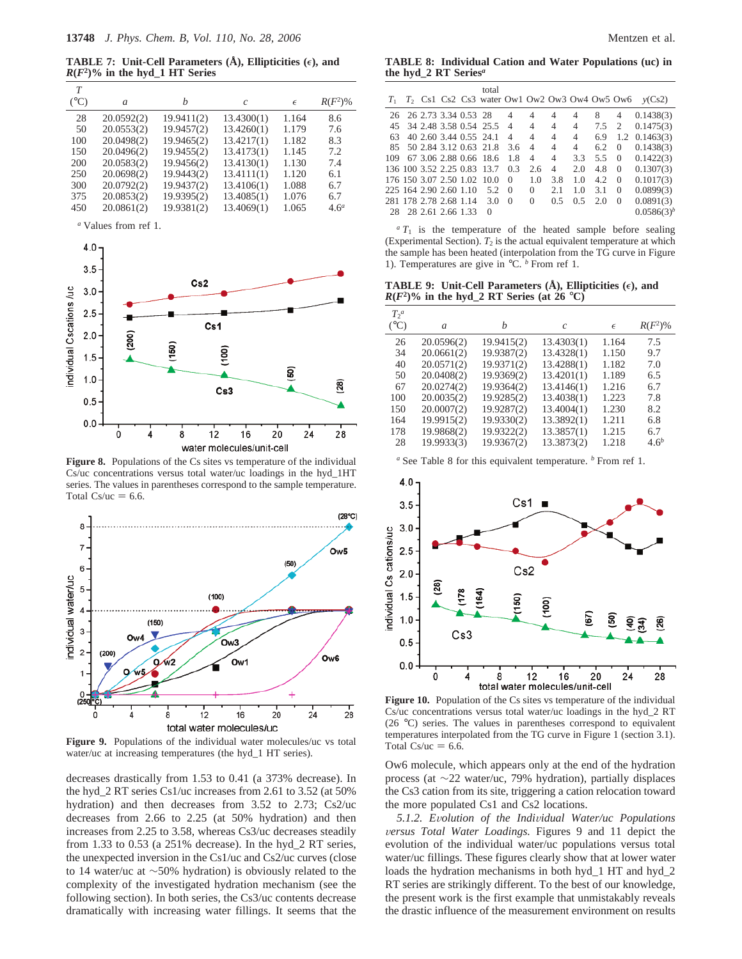**TABLE 7:** Unit-Cell Parameters  $(\hat{A})$ , Ellipticities  $(\epsilon)$ , and  $R(F^2)$ % in the hyd<sub>1</sub> HT Series

| T             |            |            |               |            |                  |
|---------------|------------|------------|---------------|------------|------------------|
| $(^{\circ}C)$ | a          | h          | $\mathcal{C}$ | $\epsilon$ | $R(F^2)$ %       |
| 28            | 20.0592(2) | 19.9411(2) | 13.4300(1)    | 1.164      | 8.6              |
| 50            | 20.0553(2) | 19.9457(2) | 13.4260(1)    | 1.179      | 7.6              |
| 100           | 20.0498(2) | 19.9465(2) | 13.4217(1)    | 1.182      | 8.3              |
| 150           | 20.0496(2) | 19.9455(2) | 13.4173(1)    | 1.145      | 7.2              |
| 200           | 20.0583(2) | 19.9456(2) | 13.4130(1)    | 1.130      | 7.4              |
| 250           | 20.0698(2) | 19.9443(2) | 13.4111(1)    | 1.120      | 6.1              |
| 300           | 20.0792(2) | 19.9437(2) | 13.4106(1)    | 1.088      | 6.7              |
| 375           | 20.0853(2) | 19.9395(2) | 13.4085(1)    | 1.076      | 6.7              |
| 450           | 20.0861(2) | 19.9381(2) | 13.4069(1)    | 1.065      | 4.6 <sup>a</sup> |

*<sup>a</sup>* Values from ref 1.



Figure 8. Populations of the Cs sites vs temperature of the individual Cs/uc concentrations versus total water/uc loadings in the hyd\_1HT series. The values in parentheses correspond to the sample temperature. Total  $Cs/uc = 6.6$ .



**Figure 9.** Populations of the individual water molecules/uc vs total water/uc at increasing temperatures (the hyd\_1 HT series).

decreases drastically from 1.53 to 0.41 (a 373% decrease). In the hyd\_2 RT series Cs1/uc increases from 2.61 to 3.52 (at 50% hydration) and then decreases from 3.52 to 2.73; Cs2/uc decreases from 2.66 to 2.25 (at 50% hydration) and then increases from 2.25 to 3.58, whereas Cs3/uc decreases steadily from 1.33 to 0.53 (a 251% decrease). In the hyd\_2 RT series, the unexpected inversion in the Cs1/uc and Cs2/uc curves (close to 14 water/uc at ∼50% hydration) is obviously related to the complexity of the investigated hydration mechanism (see the following section). In both series, the Cs3/uc contents decrease dramatically with increasing water fillings. It seems that the

**TABLE 8: Individual Cation and Water Populations (uc) in the hyd\_2 RT Series***<sup>a</sup>*

| $T_1$ |  |                         | total<br>$T_2$ Cs1 Cs2 Cs3 water Ow1 Ow2 Ow3 Ow4 Ow5 Ow6 |                |                |                |                |               |                | v(Cs2)          |
|-------|--|-------------------------|----------------------------------------------------------|----------------|----------------|----------------|----------------|---------------|----------------|-----------------|
|       |  | 26 26 2.73 3.34 0.53 28 |                                                          | $\overline{4}$ | 4              | 4              | 4              | 8             | 4              | 0.1438(3)       |
|       |  |                         | 45 34 2.48 3.58 0.54 25.5                                | $\overline{4}$ | 4              | $\overline{4}$ | 4              | $7.5 \quad 2$ |                | 0.1475(3)       |
| 63    |  | 40 2.60 3.44 0.55 24.1  |                                                          | $\overline{4}$ | 4              | $\overline{4}$ | 4              | 6.9           | 1.2            | 0.1463(3)       |
|       |  |                         | 85 50 2.84 3.12 0.63 21.8                                | 3.6            | $\overline{4}$ | $\overline{4}$ | $\overline{4}$ | 6.2           | $\theta$       | 0.1438(3)       |
|       |  |                         | 109 67 3.06 2.88 0.66 18.6                               | 1.8            | $\overline{4}$ | $\overline{4}$ | 3.3            | 5.5           | $\theta$       | 0.1422(3)       |
|       |  |                         | 136 100 3.52 2.25 0.83 13.7                              | 0.3            | 2.6            | $\overline{4}$ | 2.0            | 4.8           | $\overline{0}$ | 0.1307(3)       |
|       |  |                         | 176 150 3.07 2.50 1.02 10.0                              | $\Omega$       | 1.0            | 3.8            | 1.0            | 4.2           | $\Omega$       | 0.1017(3)       |
|       |  | 225 164 2.90 2.60 1.10  | 5.2                                                      | $\overline{0}$ | 0              | 2.1            | 1.0            | 3.1           | $\theta$       | 0.0899(3)       |
|       |  |                         | 281 178 2.78 2.68 1.14 3.0                               | $\Omega$       | $\Omega$       | 0.5            | 0.5            | 2.0           | $\Omega$       | 0.0891(3)       |
|       |  | 28 28 2.61 2.66 1.33    | 0                                                        |                |                |                |                |               |                | $0.0586(3)^{b}$ |
|       |  |                         |                                                          |                |                |                |                |               |                |                 |

 $aT_1$  is the temperature of the heated sample before sealing (Experimental Section).  $T_2$  is the actual equivalent temperature at which the sample has been heated (interpolation from the TG curve in Figure 1). Temperatures are give in °C. *<sup>b</sup>* From ref 1.

**TABLE 9:** Unit-Cell Parameters  $(\dot{A})$ , Ellipticities  $(\epsilon)$ , and  $R(F^2)$ % in the hyd\_2 RT Series (at 26 °C)

| T <sup>a</sup> |            |            |               |            |                  |
|----------------|------------|------------|---------------|------------|------------------|
| $(^{\circ}C)$  | a          | h          | $\mathcal{C}$ | $\epsilon$ | $R(F^2)\%$       |
| 26             | 20.0596(2) | 19.9415(2) | 13.4303(1)    | 1.164      | 7.5              |
| 34             | 20.0661(2) | 19.9387(2) | 13.4328(1)    | 1.150      | 9.7              |
| 40             | 20.0571(2) | 19.9371(2) | 13.4288(1)    | 1.182      | 7.0              |
| 50             | 20.0408(2) | 19.9369(2) | 13.4201(1)    | 1.189      | 6.5              |
| 67             | 20.0274(2) | 19.9364(2) | 13.4146(1)    | 1.216      | 6.7              |
| 100            | 20.0035(2) | 19.9285(2) | 13.4038(1)    | 1.223      | 7.8              |
| 150            | 20.0007(2) | 19.9287(2) | 13.4004(1)    | 1.230      | 8.2              |
| 164            | 19.9915(2) | 19.9330(2) | 13.3892(1)    | 1.211      | 6.8              |
| 178            | 19.9868(2) | 19.9322(2) | 13.3857(1)    | 1.215      | 6.7              |
| 28             | 19.9933(3) | 19.9367(2) | 13.3873(2)    | 1.218      | 4.6 <sup>b</sup> |

*<sup>a</sup>* See Table 8 for this equivalent temperature. *<sup>b</sup>* From ref 1.



Figure 10. Population of the Cs sites vs temperature of the individual Cs/uc concentrations versus total water/uc loadings in the hyd\_2 RT (26 °C) series. The values in parentheses correspond to equivalent temperatures interpolated from the TG curve in Figure 1 (section 3.1). Total  $Cs/uc = 6.6$ .

Ow6 molecule, which appears only at the end of the hydration process (at ∼22 water/uc, 79% hydration), partially displaces the Cs3 cation from its site, triggering a cation relocation toward the more populated Cs1 and Cs2 locations.

*5.1.2. E*V*olution of the Indi*V*idual Water/uc Populations* V*ersus Total Water Loadings.* Figures 9 and 11 depict the evolution of the individual water/uc populations versus total water/uc fillings. These figures clearly show that at lower water loads the hydration mechanisms in both hyd\_1 HT and hyd\_2 RT series are strikingly different. To the best of our knowledge, the present work is the first example that unmistakably reveals the drastic influence of the measurement environment on results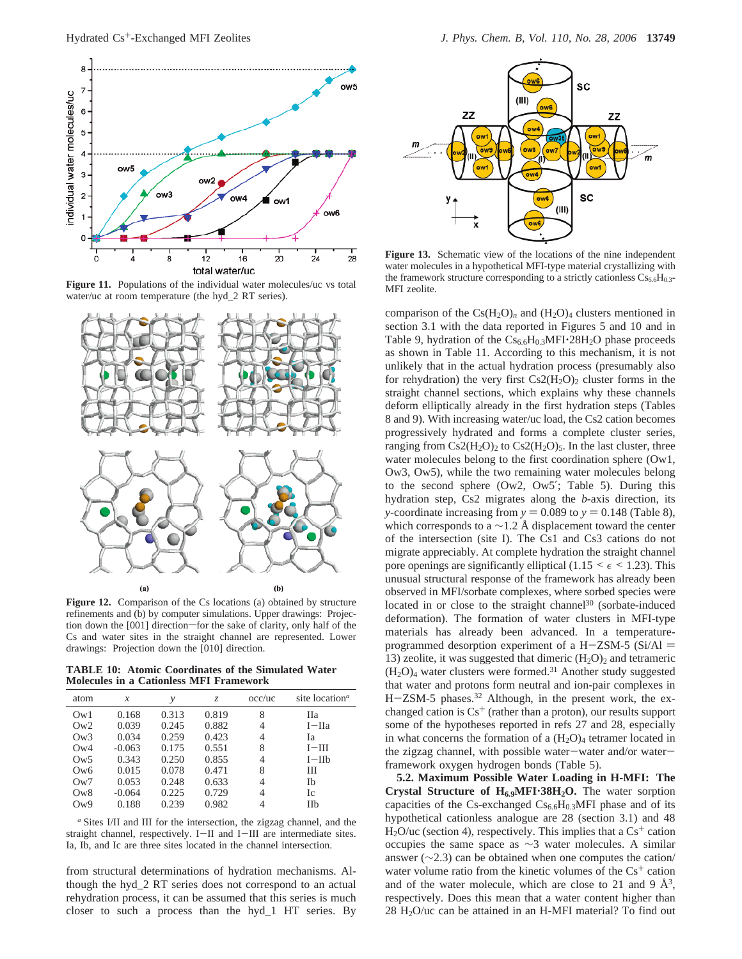

Figure 11. Populations of the individual water molecules/uc vs total water/uc at room temperature (the hyd\_2 RT series).



**Figure 12.** Comparison of the Cs locations (a) obtained by structure refinements and (b) by computer simulations. Upper drawings: Projection down the [001] direction-for the sake of clarity, only half of the Cs and water sites in the straight channel are represented. Lower drawings: Projection down the [010] direction.

**TABLE 10: Atomic Coordinates of the Simulated Water Molecules in a Cationless MFI Framework**

| atom            | х        | ν     | Z.    | $\alpha$ occ/uc | site location <sup>a</sup> |
|-----------------|----------|-------|-------|-----------------|----------------------------|
| Qw1             | 0.168    | 0.313 | 0.819 | 8               | Пa                         |
| Qw2             | 0.039    | 0.245 | 0.882 | 4               | $I-IIa$                    |
| Qw3             | 0.034    | 0.259 | 0.423 | 4               | Iа                         |
| Qw4             | $-0.063$ | 0.175 | 0.551 | 8               | $I-III$                    |
| $\rm_{OW5}$     | 0.343    | 0.250 | 0.855 | 4               | $I-IIb$                    |
| Ow <sub>6</sub> | 0.015    | 0.078 | 0.471 | 8               | Ш                          |
| Qw7             | 0.053    | 0.248 | 0.633 | 4               | Ib                         |
| Qw8             | $-0.064$ | 0.225 | 0.729 | 4               | Ic                         |
| Qw9             | 0.188    | 0.239 | 0.982 | 4               | <b>IIb</b>                 |

*<sup>a</sup>* Sites I/II and III for the intersection, the zigzag channel, and the straight channel, respectively. I-II and I-III are intermediate sites. Ia, Ib, and Ic are three sites located in the channel intersection.

from structural determinations of hydration mechanisms. Although the hyd\_2 RT series does not correspond to an actual rehydration process, it can be assumed that this series is much closer to such a process than the hyd\_1 HT series. By



**Figure 13.** Schematic view of the locations of the nine independent water molecules in a hypothetical MFI-type material crystallizing with the framework structure corresponding to a strictly cationless  $Cs_{6.6}H_{0.3}$ -MFI zeolite.

comparison of the  $Cs(H_2O)<sub>n</sub>$  and  $(H_2O)<sub>4</sub>$  clusters mentioned in section 3.1 with the data reported in Figures 5 and 10 and in Table 9, hydration of the  $Cs_{6.6}H_{0.3}MFI·28H_2O$  phase proceeds as shown in Table 11. According to this mechanism, it is not unlikely that in the actual hydration process (presumably also for rehydration) the very first  $Cs2(H<sub>2</sub>O)<sub>2</sub>$  cluster forms in the straight channel sections, which explains why these channels deform elliptically already in the first hydration steps (Tables 8 and 9). With increasing water/uc load, the Cs2 cation becomes progressively hydrated and forms a complete cluster series, ranging from  $Cs2(H_2O)_2$  to  $Cs2(H_2O)_5$ . In the last cluster, three water molecules belong to the first coordination sphere (Ow1, Ow3, Ow5), while the two remaining water molecules belong to the second sphere (Ow2, Ow5′; Table 5). During this hydration step, Cs2 migrates along the *b*-axis direction, its *y*-coordinate increasing from  $y = 0.089$  to  $y = 0.148$  (Table 8), which corresponds to a  $\sim$ 1.2 Å displacement toward the center of the intersection (site I). The Cs1 and Cs3 cations do not migrate appreciably. At complete hydration the straight channel pore openings are significantly elliptical (1.15  $\leq \epsilon \leq$  1.23). This unusual structural response of the framework has already been observed in MFI/sorbate complexes, where sorbed species were located in or close to the straight channel<sup>30</sup> (sorbate-induced deformation). The formation of water clusters in MFI-type materials has already been advanced. In a temperatureprogrammed desorption experiment of a H-ZSM-5 (Si/Al  $=$ 13) zeolite, it was suggested that dimeric  $(H_2O)_2$  and tetrameric  $(H<sub>2</sub>O)<sub>4</sub>$  water clusters were formed.<sup>31</sup> Another study suggested that water and protons form neutral and ion-pair complexes in H-ZSM-5 phases.<sup>32</sup> Although, in the present work, the exchanged cation is  $Cs<sup>+</sup>$  (rather than a proton), our results support some of the hypotheses reported in refs 27 and 28, especially in what concerns the formation of a  $(H<sub>2</sub>O)<sub>4</sub>$  tetramer located in the zigzag channel, with possible water-water and/or waterframework oxygen hydrogen bonds (Table 5).

**5.2. Maximum Possible Water Loading in H-MFI: The Crystal Structure of H6.9MFI**'**38H2O.** The water sorption capacities of the Cs-exchanged  $Cs_{6.6}H_{0.3}MFI$  phase and of its hypothetical cationless analogue are 28 (section 3.1) and 48  $H<sub>2</sub>O/uc$  (section 4), respectively. This implies that a  $Cs<sup>+</sup>$  cation occupies the same space as ∼3 water molecules. A similar answer (∼2.3) can be obtained when one computes the cation/ water volume ratio from the kinetic volumes of the  $Cs<sup>+</sup>$  cation and of the water molecule, which are close to 21 and 9  $\AA^3$ , respectively. Does this mean that a water content higher than  $28 H<sub>2</sub>O/uc$  can be attained in an H-MFI material? To find out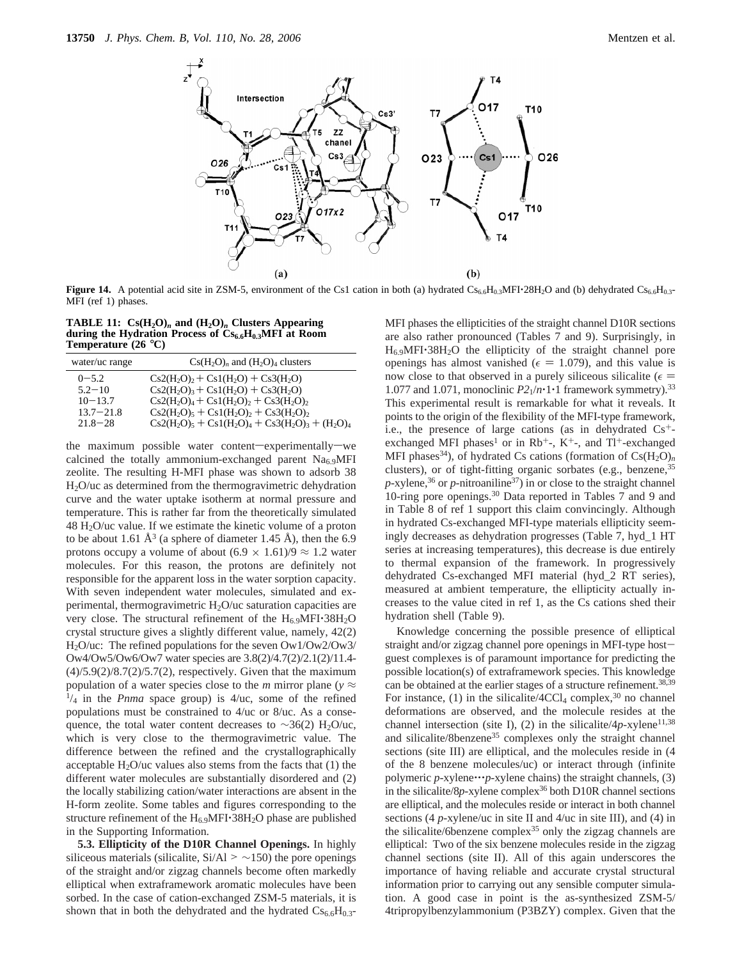

**Figure 14.** A potential acid site in ZSM-5, environment of the Cs1 cation in both (a) hydrated  $CS_{6.6}H_{0.3}$ MFI·28H<sub>2</sub>O and (b) dehydrated  $Cs_{6.6}H_{0.3}$ -MFI (ref 1) phases.

**TABLE 11:**  $Cs(H_2O)<sub>n</sub>$  and  $(H_2O)<sub>n</sub>$  Clusters Appearing **during the Hydration Process of Cs6.6H0.3MFI at Room Temperature (26** °**C)**

| water/uc range                                                         | $Cs(H2O)n$ and $(H2O)4$ clusters                                                                                                                                                                                                |
|------------------------------------------------------------------------|---------------------------------------------------------------------------------------------------------------------------------------------------------------------------------------------------------------------------------|
| $0 - 5.2$<br>$5.2 - 10$<br>$10 - 13.7$<br>$13.7 - 21.8$<br>$21.8 - 28$ | $Cs2(H_2O)_2 + Cs1(H_2O) + Cs3(H_2O)$<br>$Cs2(H2O)3 + Cs1(H2O) + Cs3(H2O)$<br>$Cs2(H_2O)4 + Cs1(H_2O)2 + Cs3(H_2O)2$<br>$Cs2(H_2O)_{5} + Cs1(H_2O)_{2} + Cs3(H_2O)_{2}$<br>$Cs2(H_2O)_5 + Cs1(H_2O)_4 + Cs3(H_2O)_3 + (H_2O)_4$ |
|                                                                        |                                                                                                                                                                                                                                 |

the maximum possible water content-experimentally-we calcined the totally ammonium-exchanged parent  $Na<sub>6.9</sub>MFI$ zeolite. The resulting H-MFI phase was shown to adsorb 38 H2O/uc as determined from the thermogravimetric dehydration curve and the water uptake isotherm at normal pressure and temperature. This is rather far from the theoretically simulated 48 H2O/uc value. If we estimate the kinetic volume of a proton to be about 1.61  $\AA^3$  (a sphere of diameter 1.45 Å), then the 6.9 protons occupy a volume of about  $(6.9 \times 1.61)/9 \approx 1.2$  water molecules. For this reason, the protons are definitely not responsible for the apparent loss in the water sorption capacity. With seven independent water molecules, simulated and experimental, thermogravimetric  $H_2O/uc$  saturation capacities are very close. The structural refinement of the  $H_{6.9}MFI·38H_2O$ crystal structure gives a slightly different value, namely, 42(2) H2O/uc: The refined populations for the seven Ow1/Ow2/Ow3/ Ow4/Ow5/Ow6/Ow7 water species are 3.8(2)/4.7(2)/2.1(2)/11.4-  $(4)/5.9(2)/8.7(2)/5.7(2)$ , respectively. Given that the maximum population of a water species close to the *m* mirror plane ( $y \approx \frac{1}{4}$  in the *Pnma* space group) is 4/uc, some of the refined populations must be constrained to 4/uc or 8/uc. As a consequence, the total water content decreases to ~36(2) H<sub>2</sub>O/uc, which is very close to the thermogravimetric value. The difference between the refined and the crystallographically acceptable  $H_2O/uc$  values also stems from the facts that  $(1)$  the different water molecules are substantially disordered and (2) the locally stabilizing cation/water interactions are absent in the H-form zeolite. Some tables and figures corresponding to the structure refinement of the  $H_{6.9}$ MFI $\cdot$ 38H<sub>2</sub>O phase are published in the Supporting Information.

**5.3. Ellipticity of the D10R Channel Openings.** In highly siliceous materials (silicalite, Si/Al >  $\sim$ 150) the pore openings of the straight and/or zigzag channels become often markedly elliptical when extraframework aromatic molecules have been sorbed. In the case of cation-exchanged ZSM-5 materials, it is shown that in both the dehydrated and the hydrated  $Cs_{6.6}H_{0.3}$ - MFI phases the ellipticities of the straight channel D10R sections are also rather pronounced (Tables 7 and 9). Surprisingly, in  $H_{6.9}$ MFI $\cdot$ 38H<sub>2</sub>O the ellipticity of the straight channel pore openings has almost vanished ( $\epsilon = 1.079$ ), and this value is now close to that observed in a purely siliceous silicalite ( $\epsilon$  = 1.077 and 1.071, monoclinic *P2*1/*n*'1'1 framework symmetry).33 This experimental result is remarkable for what it reveals. It points to the origin of the flexibility of the MFI-type framework, i.e., the presence of large cations (as in dehydrated  $Cs^+$ exchanged MFI phases<sup>1</sup> or in Rb<sup>+</sup>-, K<sup>+</sup>-, and Tl<sup>+</sup>-exchanged MFI phases<sup>34</sup>), of hydrated Cs cations (formation of  $Cs(H_2O)<sub>n</sub>$ ) clusters), or of tight-fitting organic sorbates (e.g., benzene, 35  $p$ -xylene,<sup>36</sup> or  $p$ -nitroaniline<sup>37</sup>) in or close to the straight channel 10-ring pore openings.30 Data reported in Tables 7 and 9 and in Table 8 of ref 1 support this claim convincingly. Although in hydrated Cs-exchanged MFI-type materials ellipticity seemingly decreases as dehydration progresses (Table 7, hyd\_1 HT series at increasing temperatures), this decrease is due entirely to thermal expansion of the framework. In progressively dehydrated Cs-exchanged MFI material (hyd\_2 RT series), measured at ambient temperature, the ellipticity actually increases to the value cited in ref 1, as the Cs cations shed their hydration shell (Table 9).

Knowledge concerning the possible presence of elliptical straight and/or zigzag channel pore openings in MFI-type hostguest complexes is of paramount importance for predicting the possible location(s) of extraframework species. This knowledge can be obtained at the earlier stages of a structure refinement.<sup>38,39</sup> For instance, (1) in the silicalite/ $4CCl_4$  complex,<sup>30</sup> no channel deformations are observed, and the molecule resides at the channel intersection (site I), (2) in the silicalite/ $4p$ -xylene<sup>11,38</sup> and silicalite/8benzene<sup>35</sup> complexes only the straight channel sections (site III) are elliptical, and the molecules reside in (4 of the 8 benzene molecules/uc) or interact through (infinite polymeric *<sup>p</sup>*-xylene'''*p*-xylene chains) the straight channels, (3) in the silicalite/8*p*-xylene complex<sup>36</sup> both D10R channel sections are elliptical, and the molecules reside or interact in both channel sections (4 *p*-xylene/uc in site II and 4/uc in site III), and (4) in the silicalite/6benzene complex<sup>35</sup> only the zigzag channels are elliptical: Two of the six benzene molecules reside in the zigzag channel sections (site II). All of this again underscores the importance of having reliable and accurate crystal structural information prior to carrying out any sensible computer simulation. A good case in point is the as-synthesized ZSM-5/ 4tripropylbenzylammonium (P3BZY) complex. Given that the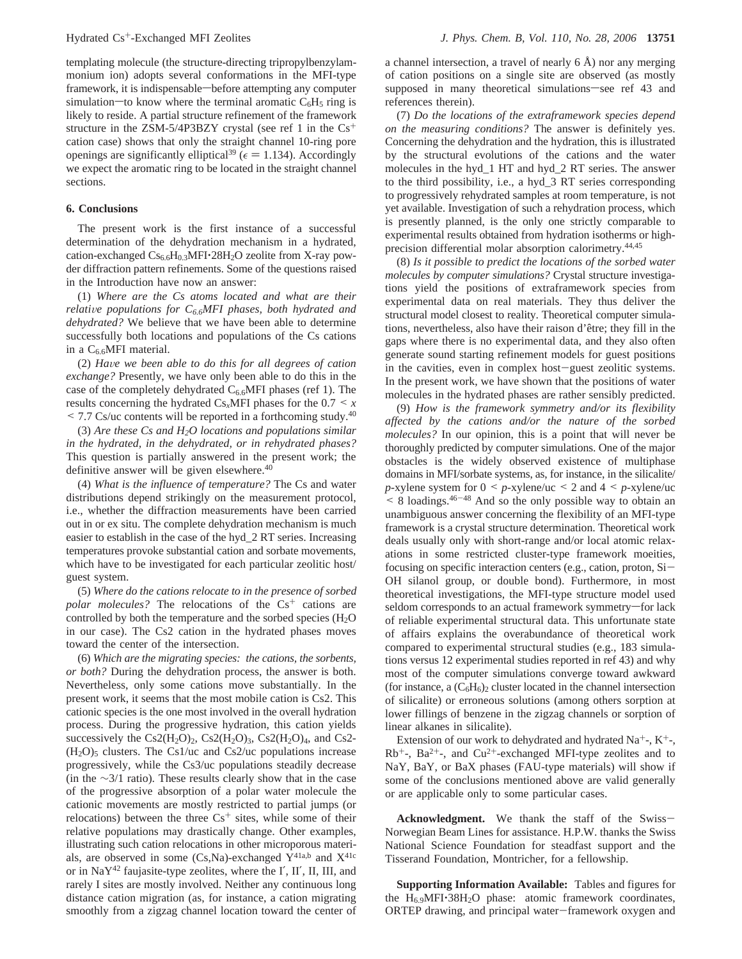templating molecule (the structure-directing tripropylbenzylammonium ion) adopts several conformations in the MFI-type framework, it is indispensable—before attempting any computer simulation—to know where the terminal aromatic  $C_6H_5$  ring is likely to reside. A partial structure refinement of the framework structure in the ZSM-5/4P3BZY crystal (see ref 1 in the  $Cs<sup>+</sup>$ cation case) shows that only the straight channel 10-ring pore openings are significantly elliptical<sup>39</sup> ( $\epsilon$  = 1.134). Accordingly we expect the aromatic ring to be located in the straight channel sections.

## **6. Conclusions**

The present work is the first instance of a successful determination of the dehydration mechanism in a hydrated, cation-exchanged  $CS_{6.6}H_{0.3}$ MFI $\cdot$ 28H<sub>2</sub>O zeolite from X-ray powder diffraction pattern refinements. Some of the questions raised in the Introduction have now an answer:

(1) *Where are the Cs atoms located and what are their relative populations for C*<sub>6.6</sub>MFI phases, both hydrated and *dehydrated?* We believe that we have been able to determine successfully both locations and populations of the Cs cations in a  $C_{6.6}$ MFI material.

(2) *Ha*V*e we been able to do this for all degrees of cation exchange?* Presently, we have only been able to do this in the case of the completely dehydrated  $C_{6.6}$ MFI phases (ref 1). The results concerning the hydrated  $Cs_xMFI$  phases for the  $0.7 \leq x$  $\leq$  7.7 Cs/uc contents will be reported in a forthcoming study.<sup>40</sup>

(3) *Are these Cs and H2O locations and populations similar in the hydrated, in the dehydrated, or in rehydrated phases?* This question is partially answered in the present work; the definitive answer will be given elsewhere.<sup>40</sup>

(4) *What is the influence of temperature?* The Cs and water distributions depend strikingly on the measurement protocol, i.e., whether the diffraction measurements have been carried out in or ex situ. The complete dehydration mechanism is much easier to establish in the case of the hyd\_2 RT series. Increasing temperatures provoke substantial cation and sorbate movements, which have to be investigated for each particular zeolitic host/ guest system.

(5) *Where do the cations relocate to in the presence of sorbed polar molecules?* The relocations of the Cs<sup>+</sup> cations are controlled by both the temperature and the sorbed species  $(H<sub>2</sub>O)$ in our case). The Cs2 cation in the hydrated phases moves toward the center of the intersection.

(6) *Which are the migrating species: the cations, the sorbents, or both?* During the dehydration process, the answer is both. Nevertheless, only some cations move substantially. In the present work, it seems that the most mobile cation is Cs2. This cationic species is the one most involved in the overall hydration process. During the progressive hydration, this cation yields successively the Cs2(H<sub>2</sub>O)<sub>2</sub>, Cs2(H<sub>2</sub>O)<sub>3</sub>, Cs2(H<sub>2</sub>O)<sub>4</sub>, and Cs2- $(H<sub>2</sub>O)<sub>5</sub>$  clusters. The Cs1/uc and Cs2/uc populations increase progressively, while the Cs3/uc populations steadily decrease (in the ∼3/1 ratio). These results clearly show that in the case of the progressive absorption of a polar water molecule the cationic movements are mostly restricted to partial jumps (or relocations) between the three  $Cs<sup>+</sup>$  sites, while some of their relative populations may drastically change. Other examples, illustrating such cation relocations in other microporous materials, are observed in some (Cs,Na)-exchanged  $Y^{41a,b}$  and  $X^{41c}$ or in  $\text{NaY}^{42}$  faujasite-type zeolites, where the I', II', II, III, and rarely I sites are mostly involved. Neither any continuous long distance cation migration (as, for instance, a cation migrating smoothly from a zigzag channel location toward the center of

a channel intersection, a travel of nearly  $6 \text{ Å}$ ) nor any merging of cation positions on a single site are observed (as mostly supposed in many theoretical simulations—see ref 43 and references therein).

(7) *Do the locations of the extraframework species depend on the measuring conditions?* The answer is definitely yes. Concerning the dehydration and the hydration, this is illustrated by the structural evolutions of the cations and the water molecules in the hyd\_1 HT and hyd\_2 RT series. The answer to the third possibility, i.e., a hyd\_3 RT series corresponding to progressively rehydrated samples at room temperature, is not yet available. Investigation of such a rehydration process, which is presently planned, is the only one strictly comparable to experimental results obtained from hydration isotherms or highprecision differential molar absorption calorimetry.44,45

(8) *Is it possible to predict the locations of the sorbed water molecules by computer simulations?* Crystal structure investigations yield the positions of extraframework species from experimental data on real materials. They thus deliver the structural model closest to reality. Theoretical computer simulations, nevertheless, also have their raison d'être; they fill in the gaps where there is no experimental data, and they also often generate sound starting refinement models for guest positions in the cavities, even in complex host-guest zeolitic systems. In the present work, we have shown that the positions of water molecules in the hydrated phases are rather sensibly predicted.

(9) *How is the framework symmetry and/or its flexibility affected by the cations and/or the nature of the sorbed molecules?* In our opinion, this is a point that will never be thoroughly predicted by computer simulations. One of the major obstacles is the widely observed existence of multiphase domains in MFI/sorbate systems, as, for instance, in the silicalite/ *p*-xylene system for  $0 \leq p$ -xylene/uc  $\leq 2$  and  $4 \leq p$ -xylene/uc  $\leq$  8 loadings.  $46-48$  And so the only possible way to obtain an unambiguous answer concerning the flexibility of an MFI-type framework is a crystal structure determination. Theoretical work deals usually only with short-range and/or local atomic relaxations in some restricted cluster-type framework moeities, focusing on specific interaction centers (e.g., cation, proton, Si-OH silanol group, or double bond). Furthermore, in most theoretical investigations, the MFI-type structure model used seldom corresponds to an actual framework symmetry-for lack of reliable experimental structural data. This unfortunate state of affairs explains the overabundance of theoretical work compared to experimental structural studies (e.g., 183 simulations versus 12 experimental studies reported in ref 43) and why most of the computer simulations converge toward awkward (for instance, a  $(C_6H_6)$ )<sub>2</sub> cluster located in the channel intersection of silicalite) or erroneous solutions (among others sorption at lower fillings of benzene in the zigzag channels or sorption of linear alkanes in silicalite).

Extension of our work to dehydrated and hydrated  $Na^{+}$ -,  $K^{+}$ -,  $Rb^{+}$ -, Ba<sup>2+</sup>-, and Cu<sup>2+</sup>-exchanged MFI-type zeolites and to NaY, BaY, or BaX phases (FAU-type materials) will show if some of the conclusions mentioned above are valid generally or are applicable only to some particular cases.

**Acknowledgment.** We thank the staff of the Swiss-Norwegian Beam Lines for assistance. H.P.W. thanks the Swiss National Science Foundation for steadfast support and the Tisserand Foundation, Montricher, for a fellowship.

**Supporting Information Available:** Tables and figures for the  $H_{6.9}$ MFI $\cdot$ 38H<sub>2</sub>O phase: atomic framework coordinates, ORTEP drawing, and principal water-framework oxygen and